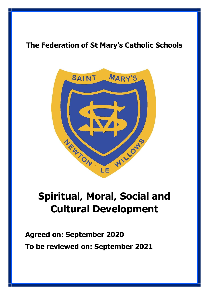## **The Federation of St Mary's Catholic Schools**



## **Spiritual, Moral, Social and Cultural Development**

**Agreed on: September 2020 To be reviewed on: September 2021**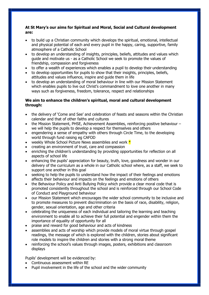## **At St Mary's our aims for Spiritual and Moral, Social and Cultural development are:**

- to build up a Christian community which develops the spiritual, emotional, intellectual and physical potential of each and every pupil in the happy, caring, supportive, family atmosphere of a Catholic School
- to develop an understanding of insights, principles, beliefs, attitudes and values which guide and motivate us - as a Catholic School we seek to promote the values of friendship, compassion and forgiveness
- to offer a wealth of experiences which enables a pupil to develop their understanding
- to develop opportunities for pupils to show that their insights, principles, beliefs, attitudes and values influence, inspire and guide them in life
- to develop an understanding of moral behaviour in line with our Mission Statement which enables pupils to live out Christ's commandment to love one another in many ways such as forgiveness, freedom, tolerance, respect and relationships

## **We aim to enhance the children's spiritual, moral and cultural development through:**

- the delivery of 'Come and See' and celebration of feasts and seasons within the Christian calendar and that of other faiths and cultures
- the Mission Statement, PHSE, Achievement Assemblies, reinforcing positive behaviour we will help the pupils to develop a respect for themselves and others
- engendering a sense of empathy with others through Circle Time, to the developing world through fund raising eg CAFOD
- weekly Whole School Picture News assemblies and work  $*$
- creating an environment of trust, care and compassion
- enriching the children's understanding by providing opportunities for reflection on all aspects of school life
- enhancing the pupils' appreciation for beauty, truth, love, goodness and wonder in our delivery of the curriculum as a whole in our Catholic school where, as a staff, we seek to support one another in this goal
- seeking to help the pupils to understand how the impact of their feelings and emotions affects their behaviour and impacts on the feelings and emotions of others
- the Behaviour Policy and Anti Bullying Policy which provide a clear moral code that is promoted consistently throughout the school and is reinforced through our School Code of Conduct and Playground behaviour
- our Mission Statement which encourages the wider school community to be inclusive and to promote measures to prevent discrimination on the basis of race, disability, religion, gender, sexual orientation, age and other criteria
- celebrating the uniqueness of each individual and tailoring the learning and teaching environment to enable all to achieve their full potential and engender within them the importance of equality of opportunity for all
- praise and reward for good behaviour and acts of kindness
- assemblies and acts of worship which provide models of moral virtue through gospel readings, the message of which is explored with the children, stories about significant role models to inspire the children and stories with a strong moral theme
- reinforcing the school's values through images, posters, exhibitions and classroom displays

Pupils' development will be evidenced by:

- Continuous assessment within RE
- Pupil involvement in the life of the school and the wider community